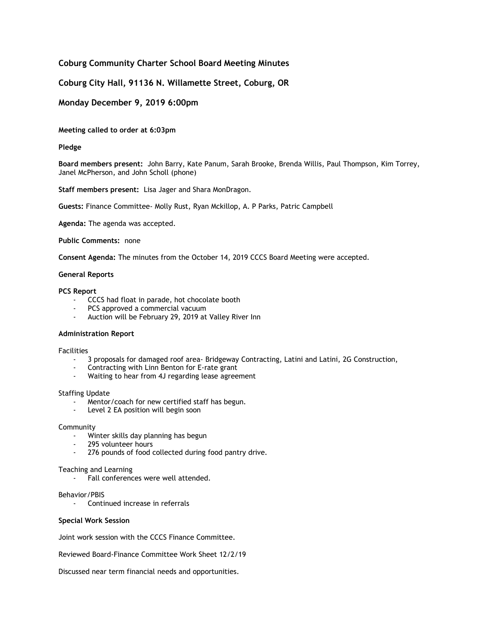# **Coburg Community Charter School Board Meeting Minutes**

# **Coburg City Hall, 91136 N. Willamette Street, Coburg, OR**

# **Monday December 9, 2019 6:00pm**

## **Meeting called to order at 6:03pm**

## **Pledge**

**Board members present:** John Barry, Kate Panum, Sarah Brooke, Brenda Willis, Paul Thompson, Kim Torrey, Janel McPherson, and John Scholl (phone)

**Staff members present:** Lisa Jager and Shara MonDragon.

**Guests:** Finance Committee- Molly Rust, Ryan Mckillop, A. P Parks, Patric Campbell

**Agenda:** The agenda was accepted.

### **Public Comments:** none

**Consent Agenda:** The minutes from the October 14, 2019 CCCS Board Meeting were accepted.

#### **General Reports**

#### **PCS Report**

- CCCS had float in parade, hot chocolate booth
- PCS approved a commercial vacuum
- Auction will be February 29, 2019 at Valley River Inn

## **Administration Report**

#### Facilities

- 3 proposals for damaged roof area- Bridgeway Contracting, Latini and Latini, 2G Construction,
- Contracting with Linn Benton for E-rate grant
- Waiting to hear from 4J regarding lease agreement

### Staffing Update

- Mentor/coach for new certified staff has begun.
- Level 2 EA position will begin soon

## Community

- Winter skills day planning has begun
- 295 volunteer hours
- 276 pounds of food collected during food pantry drive.

#### Teaching and Learning

- Fall conferences were well attended.

## Behavior/PBIS

- Continued increase in referrals

## **Special Work Session**

Joint work session with the CCCS Finance Committee.

Reviewed Board-Finance Committee Work Sheet 12/2/19

Discussed near term financial needs and opportunities.